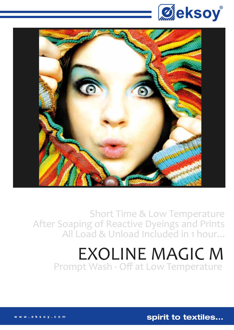



Short Time & Low Temperature After Soaping of Reactive Dyeings and Prints All Load & Unload Included in 1 hour...

## EXOLINE MAGIC M Prompt Wash - Off at Low Temperature

spirit to textiles...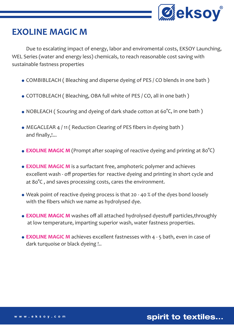

## **EXOLINE MAGIC M**

 Due to escalating impact of energy, labor and enviromental costs, EKSOY Launching, WEL Series (water and energy less) chemicals, to reach reasonable cost saving with sustainable fastness properties

- COMBIBLEACH ( Bleaching and disperse dyeing of PES / CO blends in one bath )
- COTTOBLEACH ( Bleaching, OBA full white of PES / CO, all in one bath )
- NOBLEACH ( Scouring and dyeing of dark shade cotton at 60°C, in one bath )
- MEGACLEAR 4 / 11 ( Reduction Clearing of PES fibers in dyeing bath ) and finally,!...
- **EXOLINE MAGIC M** (Prompt after soaping of reactive dyeing and printing at 80°C)
- **EXOLINE MAGIC M** is a surfactant free, amphoteric polymer and achieves excellent wash - off properties for reactive dyeing and printing in short cycle and at 80°C , and saves processing costs, cares the environment.
- Weak point of reactive dyeing process is that 20 40 % of the dyes bond loosely with the fibers which we name as hydrolysed dye.
- **EXOLINE MAGIC M** washes off all attached hydrolysed dyestuff particles,throughly at low temperature, imparting superior wash, water fastness properties.
- **EXOLINE MAGIC M** achieves excellent fastnesses with 4 5 bath, even in case of dark turquoise or black dyeing !..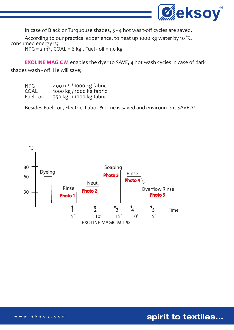

In case of Black or Turquouse shades, 3 - 4 hot wash-off cycles are saved.

According to our practical experience, to heat up 1000 kg water by 10 $\degree$ C, consumed energy is;  $NPG = 2 m<sup>3</sup>$ ,  $COAL = 6 kg$ , Fuel - oil = 1,0 kg

 **EXOLINE MAGIC M** enables the dyer to SAVE, 4 hot wash cycles in case of dark shades wash - off. He will save;

| NPG.       | 400 $\mathrm{m}^3$ / 1000 kg fabric |
|------------|-------------------------------------|
| COAL       | 1000 kg / 1000 kg fabric            |
| Fuel - oil | 350 kg / 1000 kg fabric             |

Besides Fuel - oil, Electric, Labor & Time is saved and environment SAVED !